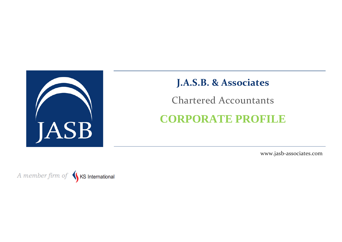

# **J.A.S.B. & Associates**

Chartered Accountants

# **CORPORATE PROFILE**

www.jasb-associates.com

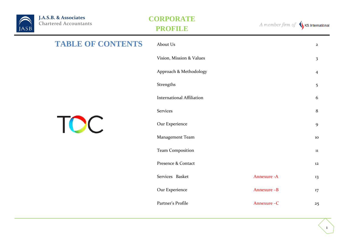

| <b>TABLE OF CONTENTS</b> | About Us                         |              | $\mathbf{2}$            |  |  |  |
|--------------------------|----------------------------------|--------------|-------------------------|--|--|--|
|                          | Vision, Mission & Values         |              | $\overline{\mathbf{3}}$ |  |  |  |
|                          | Approach & Methodology           |              | $\overline{4}$          |  |  |  |
|                          | Strengths                        |              | 5                       |  |  |  |
|                          | <b>International Affiliation</b> |              | 6                       |  |  |  |
|                          | <b>Services</b>                  |              |                         |  |  |  |
| <b>TOC</b>               | Our Experience                   |              | $\mathbf{9}$            |  |  |  |
|                          | Management Team                  |              | 10                      |  |  |  |
|                          | <b>Team Composition</b>          |              | ${\bf 11}$              |  |  |  |
|                          | Presence & Contact               |              | 12                      |  |  |  |
|                          | Services Basket                  | Annexure - A | 13                      |  |  |  |
|                          | Our Experience                   | Annexure -B  | $17\overline{ }$        |  |  |  |
|                          | Partner's Profile                | Annexure-C   | 25                      |  |  |  |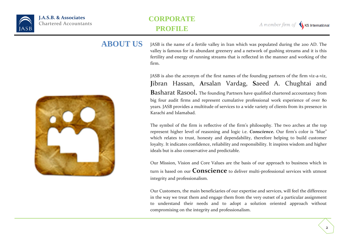

2



JASB is the name of a fertile valley in Iran which was populated during the 200 AD. The valley is famous for its abundant greenery and a network of gushing streams and it is this fertility and energy of running streams that is reflected in the manner and working of the firm. **ABOUT US**

> JASB is also the acronym of the first names of the founding partners of the firm viz-a-viz, **J**ibran Hassan, **A**rsalan Vardag, **S**aeed A. Chughtai and **B**asharat Rasool**.** The founding Partners have qualified chartered accountancy from big four audit firms and represent cumulative professional work experience of over 80 years. JASB provides a multitude of services to a wide variety of clients from its presence in Karachi and Islamabad.

> The symbol of the firm is reflective of the firm's philosophy. The two arches at the top represent higher level of reasoning and logic i.e. *Conscience.* Our firm's color is "blue" which relates to trust, honesty and dependability, therefore helping to build customer loyalty. It indicates confidence, reliability and responsibility. It inspires wisdom and higher ideals but is also conservative and predictable.

> Our Mission, Vision and Core Values are the basis of our approach to business which in turn is based on our **Conscience** to deliver multi-professional services with utmost integrity and professionalism.

> Our Customers, the main beneficiaries of our expertise and services, will feel the difference in the way we treat them and engage them from the very outset of a particular assignment to understand their needs and to adopt a solution oriented approach without compromising on the integrity and professionalism.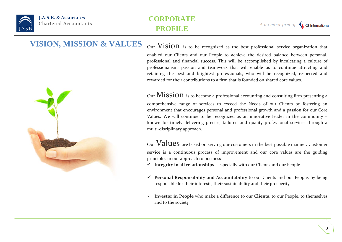

3

# **VISION, MISSION & VALUES** Our Vision is to be recognized as the best professional service organization that



enabled our Clients and our People to achieve the desired balance between personal, professional and financial success. This will be accomplished by inculcating a culture of professionalism, passion and teamwork that will enable us to continue attracting and retaining the best and brightest professionals, who will be recognized, respected and rewarded for their contributions to a firm that is founded on shared core values.

Our  $Mission$  is to become a professional accounting and consulting firm presenting a comprehensive range of services to exceed the Needs of our Clients by fostering an environment that encourages personal and professional growth and a passion for our Core Values. We will continue to be recognized as an innovative leader in the community – known for timely delivering precise, tailored and quality professional services through a multi-disciplinary approach.

Our  $Values$  are based on serving our customers in the best possible manner. Customer service is a continuous process of improvement and our core values are the guiding principles in our approach to business

- $\checkmark$  Integrity in all relationships especially with our Clients and our People
- **Personal Responsibility and Accountability** to our Clients and our People, by being responsible for their interests, their sustainability and their prosperity
- **Investor in People** who make a difference to our **Clients**, to our People, to themselves and to the society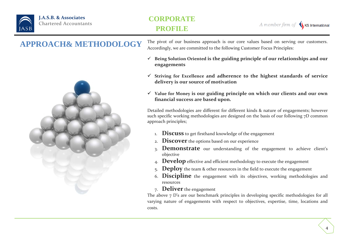

4

# **APPROACH& METHODOLOGY**



The pivot of our business approach is our core values based on serving our customers. Accordingly, we are committed to the following Customer Focus Principles:

- **Being Solution Oriented is the guiding principle of our relationships and our engagements**
- **Striving for Excellence and adherence to the highest standards of service delivery is our source of motivation**
- **Value for Money is our guiding principle on which our clients and our own financial success are based upon.**

Detailed methodologies are different for different kinds & nature of engagements; however such specific working methodologies are designed on the basis of our following 7D common approach principles;

- 1. **Discuss** to get firsthand knowledge of the engagement
- 2. **Discover** the options based on our experience
- 3. **Demonstrate** our understanding of the engagement to achieve client's objective
- 4. **Develop** effective and efficient methodology to execute the engagement
- 5. **Deploy** the team & other resources in the field to execute the engagement
- 6. **Discipline** the engagement with its objectives, working methodologies and resources
- 7. **Deliver** the engagement

The above 7 D's are our benchmark principles in developing specific methodologies for all varying nature of engagements with respect to objectives, expertise, time, locations and costs.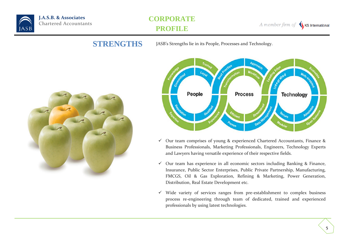

A member firm of KS International

**STRENGTHS** JASB's Strengths lie in its People, Processes and Technology.





- $\checkmark$  Our team comprises of young & experienced Chartered Accountants, Finance & Business Professionals, Marketing Professionals, Engineers, Technology Experts and Lawyers having versatile experience of their respective fields.
- $\checkmark$  Our team has experience in all economic sectors including Banking & Finance, Insurance, Public Sector Enterprises, Public Private Partnership, Manufacturing, FMCGS, Oil & Gas Exploration, Refining & Marketing, Power Generation, Distribution, Real Estate Development etc.
- $\checkmark$  Wide variety of services ranges from pre-establishment to complex business process re-engineering through team of dedicated, trained and experienced professionals by using latest technologies.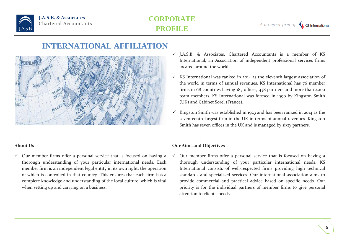

A member firm of K KS International

# **INTERNATIONAL AFFILIATION**



### **About Us**

 $\checkmark$  Our member firms offer a personal service that is focused on having a thorough understanding of your particular international needs. Each member firm is an independent legal entity in its own right, the operation of which is controlled in that country. This ensures that each firm has a complete knowledge and understanding of the local culture, which is vital when setting up and carrying on a business.

- $\checkmark$  J.A.S.B. & Associates, Chartered Accountants is a member of KS International, an Association of independent professional services firms located around the world.
- $\checkmark$  KS International was ranked in 2014 as the eleventh largest association of the world in terms of annual revenues. KS International has 76 member firms in 68 countries having 183 offices, 438 partners and more than 4,100 team members. KS International was formed in 1990 by Kingston Smith (UK) and Cabinet Sorel (France).
- Kingston Smith was established in 1923 and has been ranked in 2014 as the seventeenth largest firm in the UK in terms of annual revenues. Kingston Smith has seven offices in the UK and is managed by sixty partners.

### **Our Aims and Objectives**

 Our member firms offer a personal service that is focused on having a thorough understanding of your particular international needs. KS International consists of well-respected firms providing high technical standards and specialised services. Our international association aims to provide commercial and practical advice based on specific needs. Our priority is for the individual partners of member firms to give personal attention to client's needs.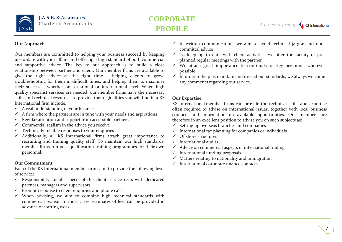

#### **Our Approach**

Our members are committed to helping your business succeed by keeping up-to-date with your affairs and offering a high standard of both commercial and supportive advice. The key to our approach is to build a close relationship between partner and client. Our member firms are available to give the right advice at the right time – helping clients to grow, troubleshooting for them in difficult times, and helping them to maximise their success – whether on a national or international level. When high quality specialist services are needed, our member firms have the necessary skills and technical resources to provide them. Qualities you will find in a KS International firm include:

- $\checkmark$  A real understanding of your business
- $\checkmark$  A firm where the partners are in tune with your needs and aspirations
- $\checkmark$  Regular attention and support from accessible partners
- $\checkmark$  Commercial realism in the advice you receive
- $\checkmark$  Technically reliable responses to your enquiries
- $\checkmark$  Additionally, all KS International firms attach great importance to recruiting and training quality staff. To maintain our high standards, member firms run post qualification training programmes for their own personnel.

Each of the KS International member firms aim to provide the following level of service:

- $\checkmark$  Responsibility for all aspects of the client service rests with dedicated partners, managers and supervisors
- $\checkmark$  Prompt response to client enquiries and phone calls
- $\checkmark$  When advising, we aim to combine high technical standards with commercial realism In most cases, estimates of fees can be provided in advance of starting work
- $\checkmark$  In written communications we aim to avoid technical jargon and noncommittal advice
- $\checkmark$  To keep up to date with client activities, we offer the facility of preplanned regular meetings with the partner
- $\checkmark$  We attach great importance to continuity of key personnel wherever possible
- $\checkmark$  In order to help us maintain and exceed our standards, we always welcome any comments regarding our service.

### **Our Expertise**

KS International member firms can provide the technical skills and expertise often required to advise on international issues, together with local business contacts and information on available opportunities. Our members are therefore in an excellent position to advise you on such subjects as:

- $\checkmark$  Setting up overseas branches and companies
- $\checkmark$  International tax planning for companies or individuals
- $\checkmark$  Offshore structures
- $\checkmark$  International audits
- $\checkmark$  Advice on commercial aspects of international trading
- $\checkmark$  International funding proposals
- $\checkmark$  Matters relating to nationality and immigration
- Our Commitment **International commitment**  $\checkmark$  International corporate finance contacts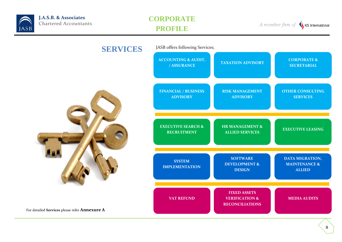

A member firm of SKS International

| <b>SERVICES</b>                               | JASB offers following Services;                     |                                                                            |                                                              |  |  |  |  |
|-----------------------------------------------|-----------------------------------------------------|----------------------------------------------------------------------------|--------------------------------------------------------------|--|--|--|--|
| For detailed Services please refer Annexure A | <b>ACCOUNTING &amp; AUDIT,</b><br>/ ASSURANCE       | <b>TAXATION ADVISORY</b>                                                   | <b>CORPORATE &amp;</b><br><b>SECRETARIAL</b>                 |  |  |  |  |
|                                               | <b>FINANCIAL / BUSINESS</b><br><b>ADVISORY</b>      | <b>RISK MANAGEMENT</b><br><b>ADVISORY</b>                                  | <b>OTHER CONSULTING</b><br><b>SERVICES</b>                   |  |  |  |  |
|                                               | <b>EXECUTIVE SEARCH &amp;</b><br><b>RECRUITMENT</b> | <b>HR MANAGEMENT &amp;</b><br><b>ALLIED SERVICES</b>                       | <b>EXECUTIVE LEASING</b>                                     |  |  |  |  |
|                                               | <b>SYSTEM</b><br><b>IMPLEMENTATION</b>              | <b>SOFTWARE</b><br><b>DEVELOPMENT &amp;</b><br><b>DESIGN</b>               | DATA MIGRATION,<br><b>MAINTENANCE &amp;</b><br><b>ALLIED</b> |  |  |  |  |
|                                               | <b>VAT REFUND</b>                                   | <b>FIXED ASSETS</b><br><b>VERIFICATION &amp;</b><br><b>RECONCILIATIONS</b> | <b>MEDIA AUDITS</b>                                          |  |  |  |  |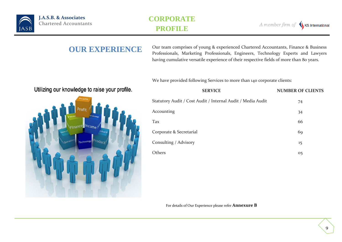

A member firm of SKS International

**OUR EXPERIENCE** Our team comprises of young & experienced Chartered Accountants, Finance & Business Professionals, Marketing Professionals, Engineers, Technology Experts and Lawyers having cumulative versatile experience of their respective fields of more than 80 years.

We have provided following Services to more than 140 corporate clients:

| Othizing our Knowledge to raise your prome. |                      |
|---------------------------------------------|----------------------|
| Profil                                      | <b>Statutory Aud</b> |
| Profit<br>n.                                | Accounting           |
| Finance Income                              | Tax                  |
| <b>Miles</b>                                | Corporate &          |
| Technology<br>roduct<br>Operall             | Consulting /         |
|                                             | Others               |
|                                             |                      |
|                                             |                      |
|                                             |                      |
|                                             |                      |

| <b>SERVICE</b>                                              | <b>NUMBER OF CLIENTS</b> |
|-------------------------------------------------------------|--------------------------|
| Statutory Audit / Cost Audit / Internal Audit / Media Audit | 74                       |
| Accounting                                                  | 34                       |
| Tax                                                         | 66                       |
| Corporate & Secretarial                                     | 69                       |
| Consulting / Advisory                                       | 15                       |
| Others                                                      | 0 <sub>5</sub>           |

For details of Our Experience please refer **Annexure B**

# I Hilizing our knowledge to raise your profile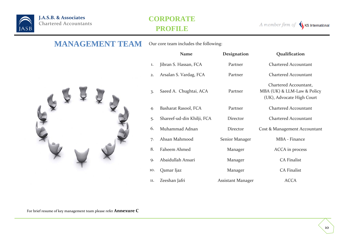

A member firm of  $\bigvee$  KS International

### **MANAGEMENT TEAM** Our core team includes the following:



|     | <b>Name</b>                | Designation       | Qualification                                                                     |
|-----|----------------------------|-------------------|-----------------------------------------------------------------------------------|
| 1.  | Jibran S. Hassan, FCA      | Partner           | <b>Chartered Accountant</b>                                                       |
| 2.  | Arsalan S. Vardag, FCA     | Partner           | <b>Chartered Accountant</b>                                                       |
| 3.  | Saeed A. Chughtai, ACA     | Partner           | Chartered Accountant,<br>MBA (UK) & LLM-Law & Policy<br>(UK), Advocate High Court |
| 4.  | Basharat Rasool, FCA       | Partner           | <b>Chartered Accountant</b>                                                       |
| 5.  | Shareef-ud-din Khilji, FCA | Director          | <b>Chartered Accountant</b>                                                       |
| 6.  | Muhammad Adnan             | Director          | Cost & Management Accountant                                                      |
| 7.  | Ahsan Mahmood              | Senior Manager    | MBA - Finance                                                                     |
| 8.  | Faheem Ahmed               | Manager           | ACCA in process                                                                   |
| 9.  | Abaidullah Ansari          | Manager           | <b>CA Finalist</b>                                                                |
| 10. | Qamar Ijaz                 | Manager           | <b>CA Finalist</b>                                                                |
| 11. | Zeeshan Jafri              | Assistant Manager | <b>ACCA</b>                                                                       |

For brief resume of key management team please refer **Annexure C**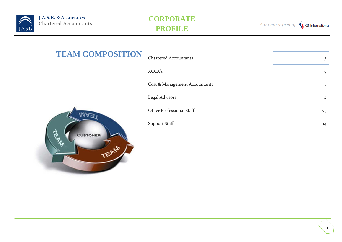

A member firm of SKS International

| <b>TEAM COMPOSITION</b> | <b>Chartered Accountants</b>  | 5              |
|-------------------------|-------------------------------|----------------|
|                         | ACCA's                        | 7              |
|                         | Cost & Management Accountants | 1              |
|                         | <b>Legal Advisors</b>         | $\overline{2}$ |
| 1A3 I                   | Other Professional Staff      | 75             |
|                         | <b>Support Staff</b>          | 14             |
| CUSTOMER<br>EAM         |                               |                |

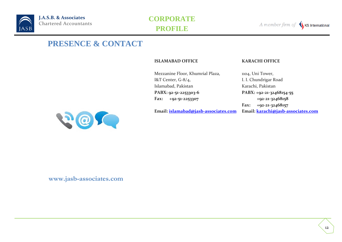

A member firm of KS International

# **PRESENCE & CONTACT**

**ISLAMABAD OFFICE KARACHI OFFICE** 

Mezzanine Floor, Khumrial Plaza, I&T Center, G-8/4, Islamabad, Pakistan **PABX: 92-51-2253303-6 Fax: +92-51-2253307**

**Email: [islamabad@jasb-associates.com](mailto:contact@jasb-associates.com)**

1104, Uni Tower, I. I. Chundrigar Road Karachi, Pakistan **PABX: +92-21-32468154-55 +92-21-32468158 Fax: +92-21-32468157 Email: [karachi@jasb-associates.com](mailto:contact@jasb-associates.com)**



**www.jasb-associates.com**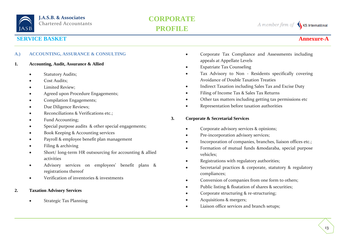

A member firm of KS International

### **SERVICE BASKET Annexure-**

#### **A.) ACCOUNTING, ASSURANCE & CONSULTING**

- **1. Accounting, Audit, Assurance & Allied**
	- Statutory Audits;
	- Cost Audits;
	- Limited Review;
	- Agreed upon Procedure Engagements;
	- Compilation Engagements;
	- Due Diligence Reviews;
	- Reconciliations & Verifications etc.;
	- Fund Accounting;
	- Special purpose audits & other special engagements;
	- Book Keeping & Accounting services
	- Payroll & employee benefit plan management
	- Filing & archiving
	- Short/ long-term HR outsourcing for accounting & allied activities
	- Advisory services on employees' benefit plans & registrations thereof
	- Verification of inventories & investments

### **2. Taxation Advisory Services**

• Strategic Tax Planning

- Corporate Tax Compliance and Assessments including appeals at Appellate Levels
- Expatriate Tax Counseling
- Tax Advisory to Non Residents specifically covering Avoidance of Double Taxation Treaties
- Indirect Taxation including Sales Tax and Excise Duty
- Filing of Income Tax & Sales Tax Returns
- Other tax matters including getting tax permissions etc
- Representation before taxation authorities

#### **3. Corporate & Secretarial Services**

- Corporate advisory services & opinions;
- Pre-incorporation advisory services;
- Incorporation of companies, branches, liaison offices etc.;
- Formation of mutual funds &modaraba, special purpose vehicles;
- Registrations with regulatory authorities;
- Secretarial practices & corporate, statutory & regulatory compliances;
- Conversion of companies from one form to others;
- Public listing & floatation of shares & securities;
- Corporate structuring & re-structuring;
- Acquisitions & mergers;
- Liaison office services and branch setups;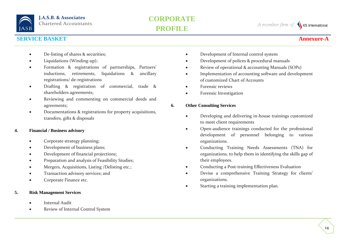

A member firm of KS International

### **SERVICE BASKET Annexure-**

### • De-listing of shares & securities;

- Liquidations (Winding-up);
- Formation & registrations of partnerships, Partners' inductions, retirements, liquidations & ancillary registrations/ de-registrations
- Drafting & registration of commercial, trade & shareholders agreements;
- Reviewing and commenting on commercial deeds and agreements;
- Documentations & registrations for property acquisitions, transfers, gifts & disposals

#### **4. Financial / Business advisory**

- Corporate strategy planning;
- Development of business plans;
- Development of financial projections;
- Preparation and analysis of Feasibility Studies;
- Mergers, Acquisitions, Listing /Delisting etc.;
- Transaction advisory services; and
- Corporate Finance etc.

### **5. Risk Management Services**

- Internal Audit
- Review of Internal Control System
- Development of Internal control system
- Development of polices & procedural manuals
- Review of operational & accounting Manuals (SOPs)
- Implementation of accounting software and development of customized Chart of Accounts
- Forensic reviews
- Forensic Investigation

### **6. Other Consulting Services**

- Developing and delivering in-house trainings customized to meet client requirements
- Open-audience trainings conducted for the professional development of personnel belonging to various organizations.
- Conducting Training Needs Assessments (TNA) for organizations, to help them in identifying the skills gap of their employees.
- Conducting a Post-training Effectiveness Evaluation
- Devise a comprehensive Training Strategy for clients' organizations.
- Starting a training implementation plan.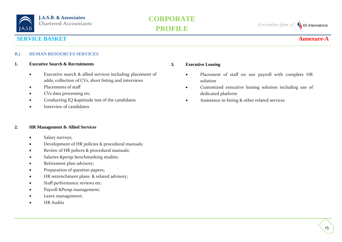

A member firm of SKS International

### **SERVICE BASKET Annexure-**

#### **B.) HUMAN RESOURCES SERVICES**

#### **1. Executive Search & Recruitments**

- Executive search & allied services including placement of adds, collection of CVs, short listing and interviews
- Placements of staff
- CVs data processing etc.
- Conducting IQ &aptitude test of the candidates
- Interview of candidates

#### **2. HR Management & Allied Services**

- Salary surveys;
- Development of HR policies & procedural manuals;
- Review of HR polices & procedural manuals;
- Salaries &perqs benchmarking studies;
- Retirement plan advisory;
- Preparation of question papers;
- HR retrenchment plans & related advisory;
- Staff performance reviews etc.
- Payroll &Perqs management;
- Leave management;
- HR Audits

#### **3. Executive Leasing**

- Placement of staff on our payroll with complete HR solution
- Customized executive leasing solution including use of dedicated platform
- Assistance in hiring & other related services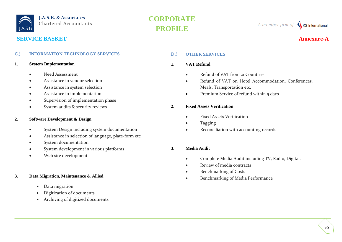

A member firm of KS International

### **SERVICE BASKET Annexure-A**

#### **C.) INFORMATION TECHNOLOGY SERVICES**

#### **1. System Implementation**

- Need Assessment
- Assistance in vendor selection
- Assistance in system selection
- Assistance in implementation
- Supervision of implementation phase
- System audits & security reviews

#### **2. Software Development & Design**

- System Design including system documentation
- Assistance in selection of language, plate-form etc
- System documentation
- System development in various platforms
- Web site development

#### **3. Data Migration, Maintenance & Allied**

- Data migration
- Digitization of documents
- Archiving of digitized documents

#### **D.) OTHER SERVICES**

#### **1. VAT Refund**

- Refund of VAT from 21 Countries
- Refund of VAT on Hotel Accommodation, Conferences, Meals, Transportation etc.
- Premium Service of refund within 5 days

#### **2. Fixed Assets Verification**

- Fixed Assets Verification
- Tagging
- Reconciliation with accounting records

#### **3. Media Audit**

- Complete Media Audit including TV, Radio, Digital.
- Review of media contracts
- Benchmarking of Costs
- Benchmarking of Media Performance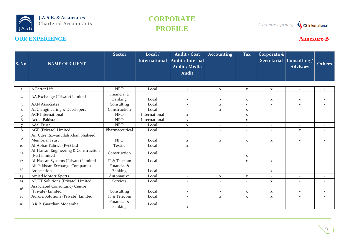## **CORPORATE PROFILE**

A member firm of SKS International

| S. No             | <b>NAME OF CLIENT</b>                                           | <b>Sector</b>                 | Local $/$<br><b>International</b> | Audit / Cost<br>Audit / Internal<br>Audit / Media<br><b>Audit</b> | <b>Accounting</b>        | <b>Tax</b>               | Corporate $\&$<br><b>Secretarial</b> | Consulting /<br><b>Advisory</b> | <b>Others</b>            |
|-------------------|-----------------------------------------------------------------|-------------------------------|-----------------------------------|-------------------------------------------------------------------|--------------------------|--------------------------|--------------------------------------|---------------------------------|--------------------------|
| 1                 | A Better Life                                                   | <b>NPO</b>                    | Local                             | $\blacksquare$                                                    | $\mathbf{x}$             | $\mathbf X$              | $\mathbf X$                          | $\overline{\phantom{a}}$        |                          |
| $\mathbf{2}$      | AA Exchange (Private) Limited                                   | Financial &<br><b>Banking</b> | Local                             |                                                                   |                          | $\mathbf{x}$             | $\mathbf{X}$                         |                                 |                          |
| $\mathbf{3}$      | <b>AAN Associates</b>                                           | Consulting                    | Local                             | $\overline{\phantom{a}}$                                          | $\mathbf{X}$             | $\overline{\phantom{a}}$ | $\overline{\phantom{a}}$             | $\overline{\phantom{a}}$        |                          |
| $\overline{4}$    | ABC Engineering & Developers                                    | Construction                  | Local                             | $\overline{\phantom{a}}$                                          | $\mathbf{x}$             | $\mathbf{x}$             | $\overline{\phantom{a}}$             | $\overline{\phantom{a}}$        | $\overline{\phantom{a}}$ |
| 5                 | <b>ACF</b> International                                        | <b>NPO</b>                    | International                     | $\mathbf{x}$                                                      | $\mathcal{L}$            | $\mathbf X$              | $\overline{\phantom{a}}$             | $\overline{\phantom{0}}$        | $\overline{\phantom{a}}$ |
| 6                 | Acted Pakistan                                                  | <b>NPO</b>                    | International                     | $\mathbf{x}$                                                      | $\overline{\phantom{a}}$ | $\mathbf X$              | $\overline{\phantom{a}}$             | $\sim$                          | $\sim$                   |
| 7                 | <b>Adal Trust</b>                                               | <b>NPO</b>                    | Local                             | $\mathbf{X}$                                                      | $\overline{\phantom{a}}$ | $\sim$                   | $\sim$                               | $\sim$                          | $\sim$                   |
| 8                 | AGP (Private) Limited                                           | Pharmaceutical                | Local                             |                                                                   | $\overline{\phantom{a}}$ | $\overline{\phantom{a}}$ | $\overline{\phantom{a}}$             | $\mathbf{X}$                    |                          |
| 9                 | Air Cdre Rizwanullah Khan Shaheed<br><b>Memorial Trust</b>      | <b>NPO</b>                    | Local                             | $\mathbf{x}$                                                      | $\mathbf{x}$             | $\mathbf X$              | $\mathbf{x}$                         |                                 |                          |
| 10                | Al-Abbas Fabrics (Pvt) Ltd                                      | Textile                       | Local                             | $\mathbf{x}$                                                      | $\overline{\phantom{a}}$ | $\overline{\phantom{a}}$ | $\overline{\phantom{a}}$             | $\overline{\phantom{a}}$        | $\sim$                   |
| 11                | Al-Hassan Engineering & Construction<br>(Pvt) Limited           | Construction                  | Local                             |                                                                   |                          | $\mathbf{x}$             |                                      |                                 |                          |
| 12                | Al-Hassan Systems (Private) Limited                             | IT & Telecom                  | Local                             | $\overline{\phantom{a}}$                                          | $\overline{\phantom{a}}$ | $\mathbf X$              | $\mathbf{x}$                         | $\sim$                          |                          |
| 13                | All Pakistan Exchange Companies<br>Association                  | Financial &                   |                                   |                                                                   |                          |                          |                                      |                                 |                          |
|                   |                                                                 | Banking                       | Local<br>Local                    | $\overline{\phantom{a}}$                                          | $\overline{\phantom{a}}$ | $\overline{\phantom{a}}$ | $\mathbf{X}$                         | $\overline{\phantom{a}}$        | $\overline{\phantom{a}}$ |
| 14                | Amjad Mototr Xperts<br><b>APITT Solutions (Private) Limited</b> | Automative<br><b>Services</b> | Local                             | $\overline{\phantom{a}}$                                          | $\mathbf X$              | $\mathbf{x}$             | $\overline{\phantom{a}}$             | $\sim$                          |                          |
| $15 \overline{)}$ | <b>Associated Consultancy Centre</b>                            |                               |                                   |                                                                   |                          | $\overline{\phantom{a}}$ | $\mathbf X$                          | $\overline{\phantom{a}}$        |                          |
| 16                | (Private) Limited                                               | Consulting                    | Local                             |                                                                   | $\overline{\phantom{a}}$ | $\mathbf x$              | $\mathbf{x}$                         | $\overline{\phantom{a}}$        |                          |
| 17                | Aurora Solutions (Private) Limited                              | IT & Telecom                  | Local                             | $\overline{\phantom{a}}$                                          | $\mathbf{x}$             | $\mathbf{x}$             | $\mathbf{X}$                         | $\sim$                          | $\sim$                   |
| 18                | B.R.R. Guardian Modaraba                                        | Financial &<br>Banking        | Local                             | $\mathbf{x}$                                                      |                          |                          |                                      |                                 |                          |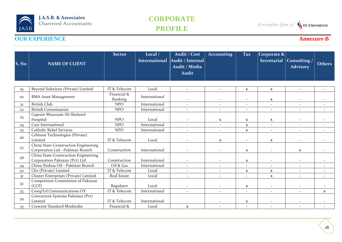## **CORPORATE PROFILE**

A member firm of SKS International

| S. No          | <b>NAME OF CLIENT</b>                                                     | <b>Sector</b>                 | Local $/$<br><b>International</b> | Audit / Cost<br>Audit / Internal<br>Audit / Media<br><b>Audit</b> | <b>Accounting</b>        | <b>Tax</b>               | Corporate $\&$<br><b>Secretarial</b> | Consulting /<br><b>Advisory</b> | <b>Others</b>            |
|----------------|---------------------------------------------------------------------------|-------------------------------|-----------------------------------|-------------------------------------------------------------------|--------------------------|--------------------------|--------------------------------------|---------------------------------|--------------------------|
| 19             | Beyond Solutions (Private) Limited                                        | IT & Telecom                  | Local                             | $\overline{\phantom{a}}$                                          | $\overline{\phantom{a}}$ | $\mathbf x$              | $\mathbf{x}$                         | $\overline{\phantom{a}}$        |                          |
| 20             | <b>BMA Asset Management</b>                                               | Financial &<br><b>Banking</b> | International                     | $\overline{\phantom{a}}$                                          | $\overline{\phantom{a}}$ | $\overline{\phantom{a}}$ | $\mathbf{x}$                         |                                 |                          |
| 21             | <b>British Club</b>                                                       | <b>NPO</b>                    | International                     | $\overline{\phantom{a}}$                                          | $\overline{\phantom{a}}$ | $\sim$                   | $\overline{\phantom{a}}$             | $\sim$                          | $\overline{\phantom{a}}$ |
| 22             | <b>British Commissariat</b>                                               | <b>NPO</b>                    | International                     | $\overline{\phantom{a}}$                                          | $\sim$                   | $\overline{\phantom{a}}$ | $\sim$                               | $\sim$                          | $\overline{\phantom{a}}$ |
| 23             | Captain Muazzam Ali Shaheed<br>Hospital                                   | <b>NPO</b>                    | Local                             | $\blacksquare$                                                    | $\mathbf{X}$             | $\mathbf{x}$             | $\mathbf{X}$                         | $\overline{\phantom{a}}$        |                          |
| 24             | Care International                                                        | <b>NPO</b>                    | International                     | $\overline{\phantom{a}}$                                          | $\overline{\phantom{a}}$ | $\mathbf X$              | $\overline{\phantom{a}}$             | $\overline{\phantom{a}}$        |                          |
| 25             | <b>Catholic Relief Services</b>                                           | <b>NPO</b>                    | International                     | $\overline{\phantom{a}}$                                          | $\overline{\phantom{a}}$ | $\mathbf{x}$             | $\sim$                               | $\overline{\phantom{a}}$        | $\overline{\phantom{a}}$ |
| 26             | Celmore Technologies (Private)<br>Limited                                 | IT & Telecom                  | Local                             |                                                                   | $\mathbf{x}$             | $\overline{\phantom{a}}$ | $\mathbf x$                          |                                 |                          |
| 27             | China State Construction Engineering<br>Corporation Ltd - Pakistan Branch | Construction                  | International                     | $\overline{\phantom{a}}$                                          | $\overline{\phantom{a}}$ | $\mathbf X$              | $\overline{\phantom{a}}$             | $\mathbf{X}$                    |                          |
| 28             | China State Construction Engineering<br>Corporation Pakistan (Pvt) Ltd    | Construction                  | International                     |                                                                   |                          | $\mathbf x$              |                                      |                                 |                          |
| 29             | China Xinhua Oil - Pakistan Branch                                        | Oil & Gas                     | International                     | $\overline{\phantom{a}}$                                          | $\overline{\phantom{a}}$ | $\sim$                   | $\overline{\phantom{a}}$             | $\overline{\phantom{a}}$        |                          |
| 30             | Clix (Private) Limited                                                    | IT & Telecom                  | Local                             | $\overline{\phantom{a}}$                                          | $\overline{\phantom{a}}$ | $\mathbf x$              | $\mathbf{X}$                         | $\sim$                          | $\overline{\phantom{a}}$ |
| 31             | Cluster Enterprises (Private) Limited                                     | Real Estate                   | Local                             | $\overline{\phantom{a}}$                                          | $\overline{\phantom{a}}$ | $\overline{\phantom{a}}$ | $\mathbf X$                          | $\overline{\phantom{a}}$        |                          |
| 3 <sup>2</sup> | Competition Commission of Pakistan<br>(CCP)                               | Regulator                     | Local                             |                                                                   |                          | X                        |                                      |                                 |                          |
| 33             | CompTel Communications OY                                                 | IT & Telecom                  | International                     | $\mathbf{r}$                                                      | $\overline{\phantom{0}}$ | $\sim$                   | $\sim$                               |                                 | $\mathbf{x}$             |
| 34             | Concurrent Systems Pakistan (Pvt)<br>Limited                              | IT & Telecom                  | International                     |                                                                   |                          | $\mathbf X$              |                                      |                                 |                          |
| 35             | Crescent Standard Modaraba                                                | Financial &                   | Local                             | $\mathbf X$                                                       |                          |                          |                                      |                                 |                          |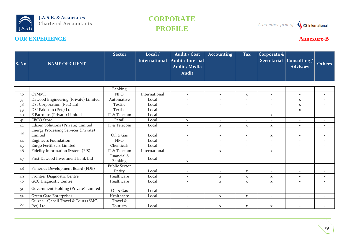## **CORPORATE PROFILE**

A member firm of SKS International

| S. No          | <b>NAME OF CLIENT</b>                                  | <b>Sector</b>                  | Local /<br><b>International</b> | Audit / Cost<br>Audit / Internal<br>Audit / Media<br><b>Audit</b> | <b>Accounting</b>        | <b>Tax</b>               | Corporate $\&$<br><b>Secretarial</b> | Consulting /<br><b>Advisory</b> | <b>Others</b>            |
|----------------|--------------------------------------------------------|--------------------------------|---------------------------------|-------------------------------------------------------------------|--------------------------|--------------------------|--------------------------------------|---------------------------------|--------------------------|
|                |                                                        |                                |                                 |                                                                   |                          |                          |                                      |                                 |                          |
|                |                                                        | Banking                        |                                 |                                                                   |                          |                          |                                      |                                 |                          |
| 36             | <b>CYMMT</b>                                           | <b>NPO</b>                     | International                   | $\sim$                                                            | $\sim$                   | $\mathbf x$              | $\sim$                               | $\sim$                          | $\sim$                   |
| 37             | Dawood Engineering (Private) Limited                   | Automative                     | Local                           | $\overline{\phantom{a}}$                                          | $\overline{\phantom{a}}$ | $\overline{\phantom{a}}$ | $\overline{\phantom{a}}$             | $\mathbf X$                     | $\sim$                   |
| 38             | DSI Corporation (Pvt.) Ltd                             | Textile                        | Local                           | $\overline{\phantom{a}}$                                          | $\overline{\phantom{a}}$ | $\overline{\phantom{a}}$ | $\overline{\phantom{a}}$             | $\mathbf x$                     | $\sim$                   |
| 39             | DSI Pakistan (Pvt.) Ltd                                | Textile                        | Local                           | $\overline{\phantom{a}}$                                          | $\overline{\phantom{a}}$ | $\overline{\phantom{a}}$ | $\overline{\phantom{a}}$             | $\mathbf{X}$                    | $\sim$                   |
| 40             | E Patronus (Private) Limited                           | IT & Telecom                   | Local                           | $\overline{\phantom{a}}$                                          | $\sim$                   | $\overline{\phantom{a}}$ | $\mathbf{X}$                         | $\overline{\phantom{a}}$        |                          |
| 4 <sup>1</sup> | <b>EBCO</b> Store                                      | Retail                         | Local                           | $\mathbf X$                                                       | $\overline{\phantom{a}}$ | $\overline{\phantom{a}}$ |                                      | $\overline{\phantom{a}}$        |                          |
| 42             | Edixen Solutions (Private) Limited                     | IT & Telecom                   | Local                           | $\sim$                                                            | $\mathbf{x}$             | $\mathbf X$              | $\mathbf{x}$                         | $\sim$                          | $\overline{\phantom{a}}$ |
| 43             | <b>Energy Processing Services (Private)</b><br>Limited | Oil & Gas                      | Local                           | $\overline{\phantom{a}}$                                          | $\overline{\phantom{a}}$ | $\overline{\phantom{a}}$ | $\mathbf{x}$                         | $\sim$                          | $\overline{\phantom{a}}$ |
| 44             | <b>Engineers Foundation</b>                            | <b>NPO</b>                     | Local                           | $\overline{\phantom{a}}$                                          | $\overline{\phantom{a}}$ | $\sim$                   | $\sim$                               | $\sim$                          | $\overline{\phantom{a}}$ |
| 45             | Enrgo Fertilizers Limited                              | Chemicals                      | Local                           | $\overline{\phantom{a}}$                                          | $\overline{\phantom{a}}$ | $\overline{\phantom{a}}$ | $\overline{\phantom{a}}$             | $\overline{\phantom{a}}$        | $\sim$                   |
| 46             | Fidelity Information System (FIS)                      | IT & Telecom                   | International                   | $\overline{\phantom{a}}$                                          | $\mathbf{X}$             | $\overline{\phantom{a}}$ | $\mathbf{X}$                         | $\sim$                          | $\sim$                   |
| 47             | First Dawood Investment Bank Ltd                       | Financial &<br>Banking         | Local                           | $\mathbf{x}$                                                      | $\overline{\phantom{a}}$ | $\overline{\phantom{a}}$ | $\overline{\phantom{a}}$             | $\sim$                          | $\sim$                   |
| 48             | Fisheries Development Board (FDB)                      | <b>Public Sector</b><br>Entity | Local                           | $\overline{\phantom{a}}$                                          | $\overline{\phantom{a}}$ | $\mathbf x$              | $\overline{\phantom{a}}$             | $\sim$                          |                          |
| 49             | Frontier Diagnostic Centre                             | Healthcare                     | Local                           | $\overline{\phantom{a}}$                                          | $\mathbf X$              | $\mathbf X$              | $\mathbf{x}$                         | $\sim$                          | $\sim$                   |
| 50             | <b>GCC Diagnostic Centre</b>                           | Healthcare                     | Local                           | $\overline{\phantom{a}}$                                          | $\mathbf X$              | $\mathbf X$              | $\mathbf{x}$                         | $\overline{\phantom{a}}$        | $\sim$                   |
| 51             | Government Holding (Private) Limited                   | Oil & Gas                      | Local                           | $\overline{\phantom{a}}$                                          | $\overline{\phantom{a}}$ | $\overline{\phantom{a}}$ |                                      | $\overline{\phantom{a}}$        |                          |
| 52             | Green Gate Enterprises                                 | Healthcare                     | Local                           | $\overline{\phantom{a}}$                                          | $\mathbf{x}$             | $\mathbf X$              | $\sim$                               | ÷.                              |                          |
| 53             | Gulzar-i-Qabail Travel & Tours (SMC-<br>Pvt) Ltd       | Travel &<br>Tourism            | Local                           |                                                                   | $\mathbf x$              | $\mathbf x$              | $\mathbf{x}$                         |                                 |                          |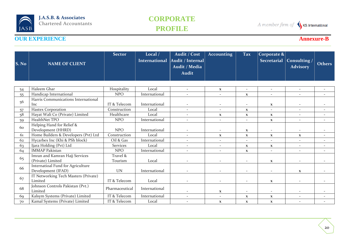## **CORPORATE PROFILE**

A member firm of SKS International

| S. No     | <b>NAME OF CLIENT</b>                                   | <b>Sector</b>       | Local $/$<br><b>International</b> | Audit / Cost<br>Audit / Internal<br>Audit / Media<br><b>Audit</b> | <b>Accounting</b>        | <b>Tax</b>               | Corporate $\&$<br><b>Secretarial</b> | Consulting /<br><b>Advisory</b> | <b>Others</b>            |
|-----------|---------------------------------------------------------|---------------------|-----------------------------------|-------------------------------------------------------------------|--------------------------|--------------------------|--------------------------------------|---------------------------------|--------------------------|
|           | Haleem Ghar                                             | Hospitality         | Local                             | $\overline{\phantom{a}}$                                          |                          | $\overline{\phantom{a}}$ | $\sim$                               | $\sim$                          | $\overline{\phantom{a}}$ |
| 54        | Handicap International                                  | <b>NPO</b>          | International                     | $\overline{\phantom{a}}$                                          | $\mathbf X$<br>$\sim$    |                          | $\overline{\phantom{a}}$             | $\sim$                          | $\sim$                   |
| 55        | Harris Communications International                     |                     |                                   |                                                                   |                          | $\mathbf X$              |                                      |                                 |                          |
| 56        | Inc                                                     | IT & Telecom        | International                     | $\overline{\phantom{a}}$                                          | $\overline{\phantom{a}}$ | $\overline{\phantom{a}}$ | $\mathbf{x}$                         |                                 |                          |
| 57        | Hastex Corporation                                      | Construction        | Local                             | $\overline{\phantom{a}}$                                          | $\sim$                   | $\mathbf{x}$             | $\blacksquare$                       | $\sim$                          |                          |
| 58        | Hayat Wali Co (Private) Limited                         | Healthcare          | Local                             | $\overline{\phantom{a}}$                                          | $\mathbf{x}$             | $\mathbf X$              | $\mathbf X$                          | $\overline{\phantom{a}}$        |                          |
| 59        | HealthNet TPO                                           | <b>NPO</b>          | International                     | $\mathbf{r}$                                                      | $\sim$                   | $\sim$                   | $\mathbf{x}$                         | $\sim$                          | $\sim$                   |
| 60        | Helping Hand for Relief &<br>Development (HHRD)         | <b>NPO</b>          | International                     | $\overline{\phantom{a}}$                                          | $\overline{\phantom{a}}$ | $\mathbf x$              | $\overline{\phantom{a}}$             | $\overline{\phantom{a}}$        |                          |
| 61        | Home Builders & Developers (Pvt) Ltd                    | Construction        | Local                             | $\overline{\phantom{a}}$                                          | $\mathbf{X}$             | $\mathbf x$              | $\mathbf{X}$                         | $\mathbf{X}$                    |                          |
| 62        | Hycarbex Inc (Khi & PSh block)                          | Oil & Gas           | International                     | $\overline{\phantom{a}}$                                          | $\overline{\phantom{a}}$ | $\overline{\phantom{a}}$ | $\sim$                               | $\overline{\phantom{a}}$        |                          |
| 63        | Ijara Holding (Pvt) Ltd                                 | <b>Services</b>     | Local                             | $\overline{\phantom{a}}$                                          | $\overline{\phantom{a}}$ | $\mathbf x$              | $\mathbf{x}$                         | $\overline{\phantom{a}}$        |                          |
| 64        | <b>IMMAP Pakistan</b>                                   | <b>NPO</b>          | International                     | $\overline{\phantom{a}}$                                          | $\overline{\phantom{a}}$ | $\mathbf X$              | $\overline{\phantom{a}}$             | $\sim$                          |                          |
| 65        | Imran and Kamran Hajj Services<br>(Private) Limited     | Travel &<br>Tourism | Local                             | $\overline{\phantom{a}}$                                          | $\overline{\phantom{a}}$ | $\overline{\phantom{a}}$ | $\mathbf{x}$                         | $\sim$                          |                          |
| 66        | Internatioal Fund for Agriculture<br>Development (IFAD) | <b>UN</b>           | International                     | $\overline{\phantom{a}}$                                          | $\overline{\phantom{a}}$ | $\overline{\phantom{a}}$ | $\overline{\phantom{a}}$             | $\mathbf{X}$                    |                          |
| 67        | IT Networking Tech Masters (Private)<br>Limited         | IT & Telecom        | Local                             | $\overline{\phantom{a}}$                                          | $\overline{\phantom{a}}$ | $\overline{\phantom{a}}$ | $\mathbf{x}$                         | $\overline{\phantom{a}}$        |                          |
| 68        | Johnson Controls Pakistan (Pvt.)<br>Limited             | Pharmaceutical      | International                     | $\overline{\phantom{a}}$                                          | $\mathbf{x}$             | $\overline{\phantom{a}}$ | $\overline{\phantom{a}}$             |                                 |                          |
| <b>69</b> | Kalsym Systems (Private) Limited                        | IT & Telecom        | International                     | $\overline{\phantom{a}}$                                          | $\sim$                   | $\mathbf x$              | $\mathbf{x}$                         | $\sim$                          |                          |
| 70        | Kamal Systems (Private) Limited                         | IT & Telecom        | Local                             | $\overline{\phantom{a}}$                                          | $\mathbf{x}$             | $\mathbf x$              | $\mathbf{x}$                         |                                 |                          |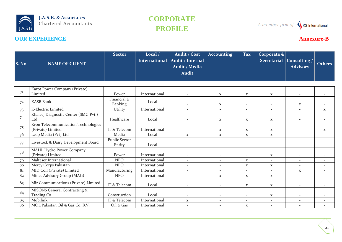## **CORPORATE PROFILE**

A member firm of SKS International

| S. No          | <b>NAME OF CLIENT</b>                                    | <b>Sector</b>                  | Local /<br><b>International</b> | Audit / Cost<br>Audit / Internal<br>Audit / Media<br><b>Audit</b> | <b>Accounting</b>        | <b>Tax</b>               | $ {\rm Corporate~\&} $<br><b>Secretarial</b> | Consulting /<br><b>Advisory</b> | <b>Others</b>            |
|----------------|----------------------------------------------------------|--------------------------------|---------------------------------|-------------------------------------------------------------------|--------------------------|--------------------------|----------------------------------------------|---------------------------------|--------------------------|
|                |                                                          |                                |                                 |                                                                   |                          |                          |                                              |                                 |                          |
| 71             | Karot Power Company (Private)<br>Limited                 | Power                          | International                   | $\overline{\phantom{a}}$                                          | $\mathbf{X}$             | $\mathbf{x}$             | $\mathbf{x}$                                 |                                 |                          |
| 72             | <b>KASB Bank</b>                                         | Financial &<br>Banking         | Local                           |                                                                   | $\mathbf{X}$             | $\overline{\phantom{a}}$ | ٠                                            | $\mathbf{X}$                    |                          |
| 73             | K-Electric Limited                                       | Utility                        | International                   | $\bar{a}$                                                         | $\overline{\phantom{a}}$ | $\overline{\phantom{a}}$ | $\sim$                                       | $\sim$                          | $\mathbf{X}$             |
| 74             | Khaleej Diagnostic Center (SMC-Pvt.)<br>Ltd              | Healthcare                     | Local                           | $\overline{\phantom{a}}$                                          | $\mathbf{X}$             | $\mathbf{x}$             | $\mathbf{x}$                                 |                                 |                          |
| 75             | Kron Telecommunication Technologies<br>(Private) Limited | IT & Telecom                   | International                   | $\overline{\phantom{a}}$                                          | $\mathbf{x}$             | $\mathbf{x}$             | $\mathbf x$                                  | $\overline{\phantom{a}}$        | $\mathbf{x}$             |
| 76             | Leap Media (Pvt) Ltd                                     | Media                          | Local                           | $\mathbf{x}$                                                      | $\mathbf{x}$             | $\mathbf{x}$             | $\mathbf{x}$                                 | $\sim$                          | $\sim$                   |
| 77             | Livestock & Dairy Development Board                      | <b>Public Sector</b><br>Entity | Local                           | $\overline{\phantom{a}}$                                          | $\overline{\phantom{a}}$ | $\overline{\phantom{a}}$ | $\overline{\phantom{a}}$                     | $\sim$                          |                          |
| 78             | MAHL Hydro Power Company<br>(Private) Limited            | Power                          | International                   | $\overline{\phantom{a}}$                                          | $\overline{\phantom{a}}$ | $\overline{\phantom{a}}$ | $\mathbf x$                                  | $\overline{\phantom{a}}$        |                          |
| 79             | Malteser International                                   | <b>NPO</b>                     | International                   | $\sim$                                                            | $\sim$                   | $\mathbf{x}$             | $\mathcal{L}$                                | $\sim$                          | $\overline{\phantom{a}}$ |
| 80             | Mercy Corps Pakistan                                     | <b>NPO</b>                     | International                   | $\overline{\phantom{a}}$                                          | $\overline{\phantom{a}}$ | $\mathbf{x}$             | $\mathbf{x}$                                 | $\overline{\phantom{a}}$        | $\overline{\phantom{a}}$ |
| 8 <sub>1</sub> | MID Coil (Private) Limited                               | Manufacturing                  | International                   | $\overline{\phantom{a}}$                                          | $\overline{\phantom{a}}$ | $\overline{\phantom{a}}$ | $\sim$                                       | $\mathbf{X}$                    | $\overline{\phantom{a}}$ |
| 82             | Mines Advisory Group (MAG)                               | <b>NPO</b>                     | International                   | $\bar{a}$                                                         | $\mathbf{x}$             | $\mathbf X$              | $\mathbf{X}$                                 |                                 |                          |
| 83             | Mir Communications (Private) Limited                     | IT & Telecom                   | Local                           | $\overline{\phantom{a}}$                                          | $\overline{\phantom{a}}$ | $\mathbf{x}$             | $\mathbf{X}$                                 | $\sim$                          | $\blacksquare$           |
| 84             | MISONS General Contracting &<br>Trading Co               | Construction                   | Local                           | $\overline{\phantom{a}}$                                          | $\overline{\phantom{a}}$ | $\overline{\phantom{a}}$ | $\mathbf x$                                  |                                 |                          |
| 85             | Mobilink                                                 | IT & Telecom                   | International                   | $\mathbf X$                                                       | $\overline{\phantom{a}}$ | $\overline{\phantom{a}}$ | $\sim$                                       | $\sim$                          |                          |
| 86             | MOL Pakistan Oil & Gas Co. B.V.                          | Oil & Gas                      | International                   | $\overline{\phantom{a}}$                                          | $\sim$                   | $\mathbf X$              | $\sim$                                       |                                 |                          |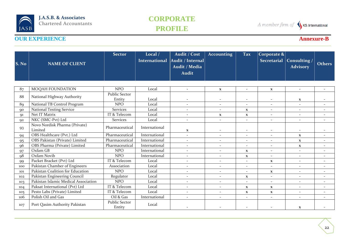## **CORPORATE PROFILE**

A member firm of SKS International

| S. No | <b>NAME OF CLIENT</b>                    | <b>Sector</b>                  | Local /<br><b>International</b> | Audit / Cost<br>Audit / Internal<br>Audit / Media<br><b>Audit</b> | <b>Accounting</b>        | <b>Tax</b>               | Corporate $\&$<br><b>Secretarial</b> | Consulting /<br><b>Advisory</b> | <b>Others</b>            |
|-------|------------------------------------------|--------------------------------|---------------------------------|-------------------------------------------------------------------|--------------------------|--------------------------|--------------------------------------|---------------------------------|--------------------------|
| 87    | MOQAH FOUNDATION                         | <b>NPO</b>                     | Local                           | $\overline{\phantom{a}}$                                          | $\mathbf{X}$             | $\overline{a}$           | $\mathbf{X}$                         | $\sim$                          |                          |
| 88    | National Highway Authority               | <b>Public Sector</b><br>Entity | Local                           |                                                                   | $\overline{\phantom{a}}$ | $\overline{\phantom{a}}$ | $\overline{\phantom{a}}$             | $\mathbf x$                     |                          |
| 89    | National TB Control Program              | <b>NPO</b>                     | Local                           | $\overline{\phantom{a}}$                                          | $\sim$                   | $\overline{\phantom{a}}$ | ۰                                    | $\overline{\phantom{a}}$        |                          |
| 90    | <b>National Testing Service</b>          | <b>Services</b>                | Local                           |                                                                   | $\overline{\phantom{a}}$ | $\mathbf{x}$             | $\overline{\phantom{a}}$             | $\overline{\phantom{a}}$        |                          |
| Q1    | Net IT Matrix                            | IT & Telecom                   | Local                           | $\overline{\phantom{a}}$                                          | $\mathbf{x}$             | $\mathbf X$              | $\overline{\phantom{a}}$             | $\sim$                          | $\sim$                   |
| 92    | NKC (SMC-Pvt) Ltd                        | <b>Services</b>                | Local                           | $\overline{\phantom{a}}$                                          | $\overline{\phantom{a}}$ | $\overline{\phantom{a}}$ | $\overline{\phantom{a}}$             | $\sim$                          | $\overline{\phantom{a}}$ |
| 93    | Novo Nordisk Pharma (Private)<br>Limited | Pharmaceutical                 | International                   | $\mathbf{x}$                                                      | $\overline{\phantom{a}}$ | $\overline{\phantom{a}}$ | $\overline{\phantom{a}}$             |                                 |                          |
| 94    | OBS Healthcare (Pvt.) Ltd                | Pharmaceutical                 | International                   | $\overline{\phantom{a}}$                                          | $\overline{\phantom{a}}$ | $\overline{\phantom{a}}$ | $\overline{\phantom{a}}$             | $\mathbf{x}$                    | $\overline{\phantom{a}}$ |
| 95    | OBS Pakistan (Private) Limited           | Pharmaceutical                 | International                   | $\overline{\phantom{a}}$                                          | $\sim$                   | $\overline{\phantom{a}}$ | $\overline{\phantom{a}}$             | $\mathbf{X}$                    | $\overline{\phantom{a}}$ |
| 96    | OBS Pharma (Private) Limited             | Pharmaceutical                 | International                   | $\overline{\phantom{a}}$                                          | $\overline{\phantom{a}}$ | $\overline{\phantom{a}}$ | $\overline{\phantom{a}}$             | $\mathbf{X}$                    | $\overline{\phantom{a}}$ |
| 97    | Oxfam GB                                 | <b>NPO</b>                     | International                   | $\overline{\phantom{a}}$                                          | $\sim$                   | $\mathbf X$              | $\overline{\phantom{a}}$             | $\overline{\phantom{a}}$        | $\overline{\phantom{a}}$ |
| 98    | Oxfam Novib                              | <b>NPO</b>                     | International                   | $\overline{\phantom{a}}$                                          | $\overline{\phantom{a}}$ | $\mathbf{x}$             | $\sim$                               | $\sim$                          | $\overline{\phantom{a}}$ |
| 99    | Packet Bracket (Pvt) Ltd                 | IT & Telecom                   | Local                           | $\overline{\phantom{a}}$                                          | $\sim$                   | $\overline{\phantom{a}}$ | $\mathbf x$                          | $\overline{\phantom{a}}$        |                          |
| 100   | Pakistan Chamber of Engineers            | Association                    | Local                           | $\overline{\phantom{a}}$                                          | $\sim$                   | $\overline{a}$           | $\mathcal{L}$                        | $\sim$                          | $\sim$                   |
| 101   | Pakistan Coalition for Education         | <b>NPO</b>                     | Local                           | $\overline{\phantom{a}}$                                          | $\sim$                   | $\overline{\phantom{a}}$ | $\mathbf X$                          | $\sim$                          | $\overline{\phantom{a}}$ |
| 102   | Pakistan Engineering Council             | Regulator                      | Local                           | $\overline{\phantom{a}}$                                          | $\sim$                   | $\mathbf{x}$             | $\overline{\phantom{a}}$             | $\overline{\phantom{a}}$        | $\overline{\phantom{a}}$ |
| 103   | Pakistan Islamic Medical Association     | <b>NPO</b>                     | Local                           | $\overline{\phantom{a}}$                                          | $\sim$                   | $\overline{\phantom{a}}$ | ÷.                                   |                                 |                          |
| 104   | Paksat International (Pvt) Ltd           | IT & Telecom                   | Local                           | $\overline{\phantom{a}}$                                          | $\overline{\phantom{a}}$ | $\mathbf{x}$             | $\mathbf X$                          | $\overline{\phantom{a}}$        |                          |
| 105   | Pesto Labs (Private) Limited             | IT & Telecom                   | Local                           | $\overline{\phantom{a}}$                                          | $\sim$                   | $\mathbf{x}$             | $\mathbf{x}$                         | $\overline{\phantom{a}}$        | $\overline{\phantom{a}}$ |
| 106   | Polish Oil and Gas                       | Oil & Gas                      | International                   | $\overline{\phantom{a}}$                                          | $\overline{\phantom{a}}$ | $\overline{\phantom{a}}$ | $\overline{\phantom{a}}$             | $\sim$                          | $\overline{\phantom{a}}$ |
| 107   | Port Qasim Authority Pakistan            | <b>Public Sector</b><br>Entity | Local                           |                                                                   |                          |                          |                                      | $\mathbf{X}$                    |                          |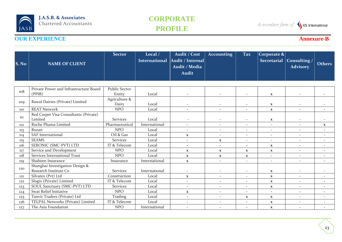## **CORPORATE PROFILE**

A member firm of SKS International

| S. No | <b>NAME OF CLIENT</b>                                    | <b>Sector</b>                  | Local /<br><b>International</b> | Audit / Cost<br>Audit / Internal<br>Audit / Media<br><b>Audit</b> | <b>Accounting</b>        | <b>Tax</b>               | $ {\rm Corporate\,\&} $<br><b>Secretarial</b> | <b>Consulting</b> /<br><b>Advisory</b> | <b>Others</b>            |
|-------|----------------------------------------------------------|--------------------------------|---------------------------------|-------------------------------------------------------------------|--------------------------|--------------------------|-----------------------------------------------|----------------------------------------|--------------------------|
|       |                                                          |                                |                                 |                                                                   |                          |                          |                                               |                                        |                          |
| 108   | Private Power and Infrastructure Board<br>(PPIB)         | <b>Public Sector</b><br>Entity | Local                           | $\overline{\phantom{a}}$                                          | $\overline{\phantom{a}}$ | $\overline{\phantom{a}}$ | $\mathbf x$                                   | $\overline{\phantom{a}}$               |                          |
| 109   | Rawal Dairies (Private) Limited                          | Agriculture &<br>Dairy         | Local                           |                                                                   |                          | $\overline{\phantom{a}}$ | $\mathbf{x}$                                  |                                        |                          |
| 110   | <b>REAT Network</b>                                      | <b>NPO</b>                     | Local                           | $\overline{\phantom{a}}$                                          | $\overline{\phantom{a}}$ | $\overline{\phantom{a}}$ | $\mathbf{X}$                                  | $\sim$                                 |                          |
| 111   | Red Carpet Visa Consultants (Private)<br>Limited         | <b>Services</b>                | Local                           | $\overline{\phantom{a}}$                                          | $\overline{\phantom{a}}$ | $\overline{\phantom{a}}$ | $\mathbf{X}$                                  | $\overline{\phantom{a}}$               |                          |
| 112   | Roche Phama Limited                                      | Pharmaceutical                 | International                   | $\overline{\phantom{a}}$                                          | $\overline{\phantom{a}}$ | $\overline{\phantom{a}}$ | $\overline{\phantom{a}}$                      | $\sim$                                 | $\mathbf{x}$             |
| 113   | Rozan                                                    | <b>NPO</b>                     | Local                           | $\overline{\phantom{a}}$                                          | $\overline{\phantom{a}}$ | $\sim$                   | $\overline{\phantom{a}}$                      | $\sim$                                 | $\overline{\phantom{a}}$ |
| 114   | <b>SAF</b> International                                 | Oil & Gas                      | Local                           | $\mathbf X$                                                       | $\overline{\phantom{a}}$ | $\overline{\phantom{a}}$ | $\overline{\phantom{a}}$                      | $\sim$                                 | $\overline{\phantom{a}}$ |
| 115   | <b>SEAMS</b>                                             | <b>Services</b>                | Local                           | $\overline{\phantom{a}}$                                          | $\mathbf{X}$             | $\sim$                   | $\overline{\phantom{0}}$                      | $\sim$                                 | $\overline{\phantom{a}}$ |
| 116   | SERONIC (SMC-PVT) LTD                                    | IT & Telecom                   | Local                           | $\overline{\phantom{a}}$                                          | $\sim$                   | $\overline{\phantom{a}}$ | $\mathbf X$                                   | $\sim$                                 | $\sim$                   |
| 117   | Service and Development                                  | <b>NPO</b>                     | Local                           | $\mathbf{x}$                                                      | $\mathbf{x}$             | $\mathbf{x}$             | $\mathbf X$                                   | $\sim$                                 |                          |
| 118   | Services International Trust                             | <b>NPO</b>                     | Local                           | $\mathbf{x}$                                                      | $\mathbf{X}$             | $\mathbf x$              | $\sim$                                        | $\sim$                                 | $\sim$                   |
| 119   | Shaheen Insurance                                        | Insurance                      | International                   | $\mathbf X$                                                       | $\overline{\phantom{a}}$ | $\overline{\phantom{a}}$ | $\sim$                                        | $\sim$                                 | $\overline{\phantom{a}}$ |
| 120   | Shanghai Investigation Design &<br>Research Institute Co | <b>Services</b>                | International                   | $\overline{\phantom{a}}$                                          | $\overline{\phantom{a}}$ | $\overline{\phantom{a}}$ | $\mathbf x$                                   | $\sim$                                 |                          |
| 121   | Silvatex (Pvt) Ltd                                       | Construction                   | Local                           | $\mathbf{x}$                                                      | $\overline{\phantom{a}}$ | $\overline{\phantom{a}}$ | $\mathbf{X}$                                  | $\sim$                                 |                          |
| 122   | Slogix (Private) Limited                                 | IT & Telecom                   | Local                           | $\overline{\phantom{a}}$                                          | $\overline{\phantom{a}}$ | $\overline{a}$           | $\mathbf X$                                   | $\sim$                                 | $\overline{\phantom{a}}$ |
| 123   | SOUL Sanctuary (SMC-PVT) LTD                             | <b>Services</b>                | Local                           | $\overline{\phantom{a}}$                                          | $\overline{\phantom{a}}$ | $\overline{\phantom{a}}$ | $\mathbf{X}$                                  | $\sim$                                 |                          |
| 124   | Swat Relief Initiative                                   | <b>NPO</b>                     | Local                           | $\mathbf{x}$                                                      | $\overline{\phantom{a}}$ | $\overline{\phantom{a}}$ | $\overline{\phantom{a}}$                      | $\sim$                                 | $\sim$                   |
| 125   | Tanvir Traders (Private) Ltd                             | Trading                        | Local                           | $\overline{\phantom{a}}$                                          | $\sim$                   | $\mathbf x$              | $\mathbf{X}$                                  | $\sim$                                 | $\sim$                   |
| 126   | TELPAL Networks (Private) Limited                        | IT & Telecom                   | Local                           | $\overline{\phantom{a}}$                                          | $\overline{\phantom{a}}$ | $\overline{\phantom{a}}$ | $\mathbf X$                                   | $\sim$                                 | $\overline{\phantom{a}}$ |
| 127   | The Asia Foundation                                      | <b>NPO</b>                     | International                   | $\blacksquare$                                                    | $\overline{\phantom{a}}$ |                          | $\mathbf x$                                   |                                        |                          |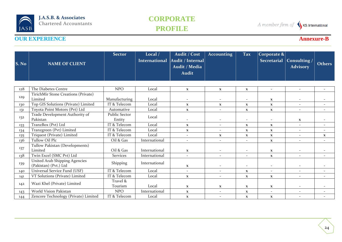## **CORPORATE PROFILE**

A member firm of SKS International

| $\mathbf{\mathbf{\mathbf{S}}.\mathbf{No}}$ | <b>NAME OF CLIENT</b>                                  | <b>Sector</b>                  | Local /<br><b>International</b> | Audit / Cost<br>Audit / Internal<br>Audit / Media<br><b>Audit</b> | <b>Accounting</b>        | <b>Tax</b>               | Corporate $\&$<br><b>Secretarial</b> | Consulting /<br><b>Advisory</b> | <b>Others</b>            |
|--------------------------------------------|--------------------------------------------------------|--------------------------------|---------------------------------|-------------------------------------------------------------------|--------------------------|--------------------------|--------------------------------------|---------------------------------|--------------------------|
| 128                                        | The Diabetes Centre                                    | <b>NPO</b>                     | Local                           | $\mathbf X$                                                       | $\mathbf{x}$             | $\mathbf X$              | $\sim$                               | $\sim$                          | $\overline{\phantom{a}}$ |
| 129                                        | TirichMir Stone Creations (Private)<br>Limited         | Manufacturing                  | Local                           | $\overline{\phantom{a}}$                                          | $\overline{\phantom{a}}$ | $\overline{\phantom{a}}$ | $\mathbf{x}$                         | $\overline{\phantom{a}}$        |                          |
| 130                                        | Top GIS Solutions (Private) Limited                    | IT & Telecom                   | Local                           | $\mathbf{x}$                                                      | $\mathbf{x}$             | $\mathbf{x}$             | $\mathbf X$                          | $\overline{\phantom{a}}$        |                          |
| 131                                        | Toyota Point Motors (Pvt) Ltd                          | Automative                     | Local                           | $\mathbf X$                                                       | $\overline{\phantom{a}}$ | $\mathbf{x}$             | $\mathbf{x}$                         | $\sim$                          |                          |
| 132                                        | Trade Development Authority of<br>Pakistan             | <b>Public Sector</b><br>Entity | Local                           | $\overline{\phantom{a}}$                                          | $\overline{\phantom{a}}$ | $\overline{\phantom{a}}$ | $\overline{\phantom{a}}$             | $\mathbf{x}$                    |                          |
| 133                                        | TranzBox (Pvt) Ltd                                     | IT & Telecom                   | Local                           | $\mathbf{x}$                                                      | $\overline{\phantom{a}}$ | $\mathbf x$              | $\mathbf{X}$                         | ÷.                              |                          |
| 134                                        | Tranzgreen (Pvt) Limited                               | IT & Telecom                   | Local                           | $\mathbf X$                                                       | $\overline{\phantom{a}}$ | $\mathbf x$              | $\mathbf{x}$                         | $\sim$                          | $\sim$                   |
| 135                                        | Triquest (Private) Limited                             | IT & Telecom                   | Local                           | $\overline{\phantom{a}}$                                          | $\mathbf{x}$             | $\mathbf{x}$             | $\mathbf{x}$                         | $\overline{\phantom{a}}$        | $\mathbf{X}$             |
| 136                                        | Tullow Oil Plc                                         | Oil & Gas                      | International                   | $\overline{\phantom{a}}$                                          | $\overline{a}$           | $\overline{\phantom{a}}$ | $\mathbf X$                          |                                 |                          |
| 137                                        | Tullow Pakistan (Developments)<br>Limited              | Oil & Gas                      | International                   | $\mathbf{x}$                                                      |                          | $\overline{\phantom{a}}$ | $\mathbf{X}$                         | ۰                               |                          |
| 138                                        | Twin Excel (SMC Pvt) Ltd                               | <b>Services</b>                | International                   | $\overline{\phantom{a}}$                                          | $\overline{\phantom{a}}$ | $\overline{\phantom{a}}$ | $\mathbf{x}$                         | $\sim$                          |                          |
| 139                                        | United Arab Shipping Agencies<br>(Pakistan) (Pvt.) Ltd | Shipping                       | International                   | $\mathbf{x}$                                                      |                          | $\overline{\phantom{a}}$ | $\overline{\phantom{a}}$             |                                 |                          |
| 140                                        | Universal Service Fund (USF)                           | IT & Telecom                   | Local                           | $\overline{\phantom{a}}$                                          | $\sim$                   | $\mathbf{x}$             | $\overline{\phantom{a}}$             | $\overline{\phantom{a}}$        | $\overline{\phantom{a}}$ |
| 141                                        | VT Solutions (Private) Limited                         | IT & Telecom                   | Local                           | $\mathbf X$                                                       | $\overline{\phantom{a}}$ | $\mathbf x$              | $\mathbf X$                          | $\overline{\phantom{a}}$        | $\overline{\phantom{a}}$ |
| 142                                        | Wazi Khel (Private) Limited                            | Travel &<br>Tourism            | Local                           | $\mathbf{X}$                                                      | $\mathbf{x}$             | $\mathbf{x}$             | $\mathbf{X}$                         | $\overline{\phantom{a}}$        |                          |
| 143                                        | World Vision Pakistan                                  | <b>NPO</b>                     | International                   | $\mathbf{x}$                                                      | $\overline{\phantom{a}}$ | $\mathbf{x}$             | $\overline{\phantom{a}}$             | $\overline{\phantom{a}}$        |                          |
| 144                                        | Zencore Technology (Private) Limited                   | IT & Telecom                   | Local                           | $\mathbf X$                                                       | $\overline{\phantom{a}}$ | $\mathbf x$              | $\mathbf{x}$                         | ۰                               |                          |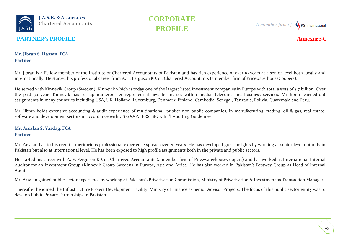

A member firm of KS International

### **PARTNER's PROFILE Annexure-**

### **Mr. Jibran S. Hassan, FCA Partner**

Mr. Jibran is a Fellow member of the Institute of Chartered Accountants of Pakistan and has rich experience of over 19 years at a senior level both locally and internationally. He started his professional career from A. F. Ferguson & Co., Chartered Accountants (a member firm of PricewaterhouseCoopers).

He served with Kinnevik Group (Sweden). Kinnevik which is today one of the largest listed investment companies in Europe with total assets of \$ 7 billion. Over the past 30 years Kinnevik has set up numerous entrepreneurial new businesses within media, telecoms and business services. Mr Jibran carried-out assignments in many countries including USA, UK, Holland, Luxemburg, Denmark, Finland, Cambodia, Senegal, Tanzania, Bolivia, Guatemala and Peru.

Mr. Jibran holds extensive accounting & audit experience of multinational, public/ non-public companies, in manufacturing, trading, oil & gas, real estate, software and development sectors in accordance with US GAAP, IFRS, SEC& Int'l Auditing Guidelines.

### **Mr. Arsalan S. Vardag, FCA Partner**

Mr. Arsalan has to his credit a meritorious professional experience spread over 20 years. He has developed great insights by working at senior level not only in Pakistan but also at international level. He has been exposed to high profile assignments both in the private and public sectors.

He started his career with A. F. Ferguson & Co., Chartered Accountants (a member firm of PricewaterhouseCoopers) and has worked as International Internal Auditor for an Investment Group (Kinnevik Group Sweden) in Europe, Asia and Africa. He has also worked in Pakistan's Bestway Group as Head of Internal Audit.

Mr. Arsalan gained public sector experience by working at Pakistan's Privatization Commission, Ministry of Privatization & Investment as Transaction Manager.

Thereafter he joined the Infrastructure Project Development Facility, Ministry of Finance as Senior Advisor Projects. The focus of this public sector entity was to develop Public Private Partnerships in Pakistan.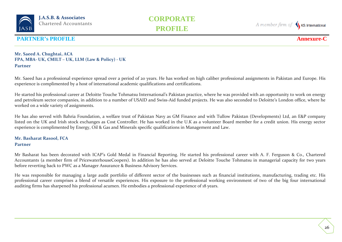

A member firm of KS International

### **PARTNER's PROFILE Annexure-**

#### **Mr. Saeed A. Chughtai, ACA FPA, MBA- UK, CMILT – UK, LLM (Law & Policy) - UK Partner**

Mr. Saeed has a professional experience spread over a period of 20 years. He has worked on high caliber professional assignments in Pakistan and Europe. His experience is complimented by a host of international academic qualifications and certifications.

He started his professional career at Deloitte Touche Tohmatsu International's Pakistan practice, where he was provided with an opportunity to work on energy and petroleum sector companies, in addition to a number of USAID and Swiss-Aid funded projects. He was also seconded to Deloitte's London office, where he worked on a wide variety of assignments.

He has also served with Bahria Foundation, a welfare trust of Pakistan Navy as GM Finance and with Tullow Pakistan (Developments) Ltd, an E&P company listed on the UK and Irish stock exchanges as Cost Controller. He has worked in the U.K as a volunteer Board member for a credit union. His energy sector experience is complimented by Energy, Oil & Gas and Minerals specific qualifications in Management and Law.

#### **Mr. Basharat Rasool, FCA Partner**

Mr Basharat has been decorated with ICAP's Gold Medal in Financial Reporting. He started his professional career with A. F. Ferguson & Co., Chartered Accountants (a member firm of PricewaterhouseCoopers). In addition he has also served at Deloitte Touche Tohmatsu in managerial capacity for two years before reverting back to PWC as a Manager Assurance & Business Advisory Services.

He was responsible for managing a large audit portfolio of different sector of the businesses such as financial institutions, manufacturing, trading etc. His professional career comprises a blend of versatile experiences. His exposure to the professional working environment of two of the big four international auditing firms has sharpened his professional acumen. He embodies a professional experience of 18 years.